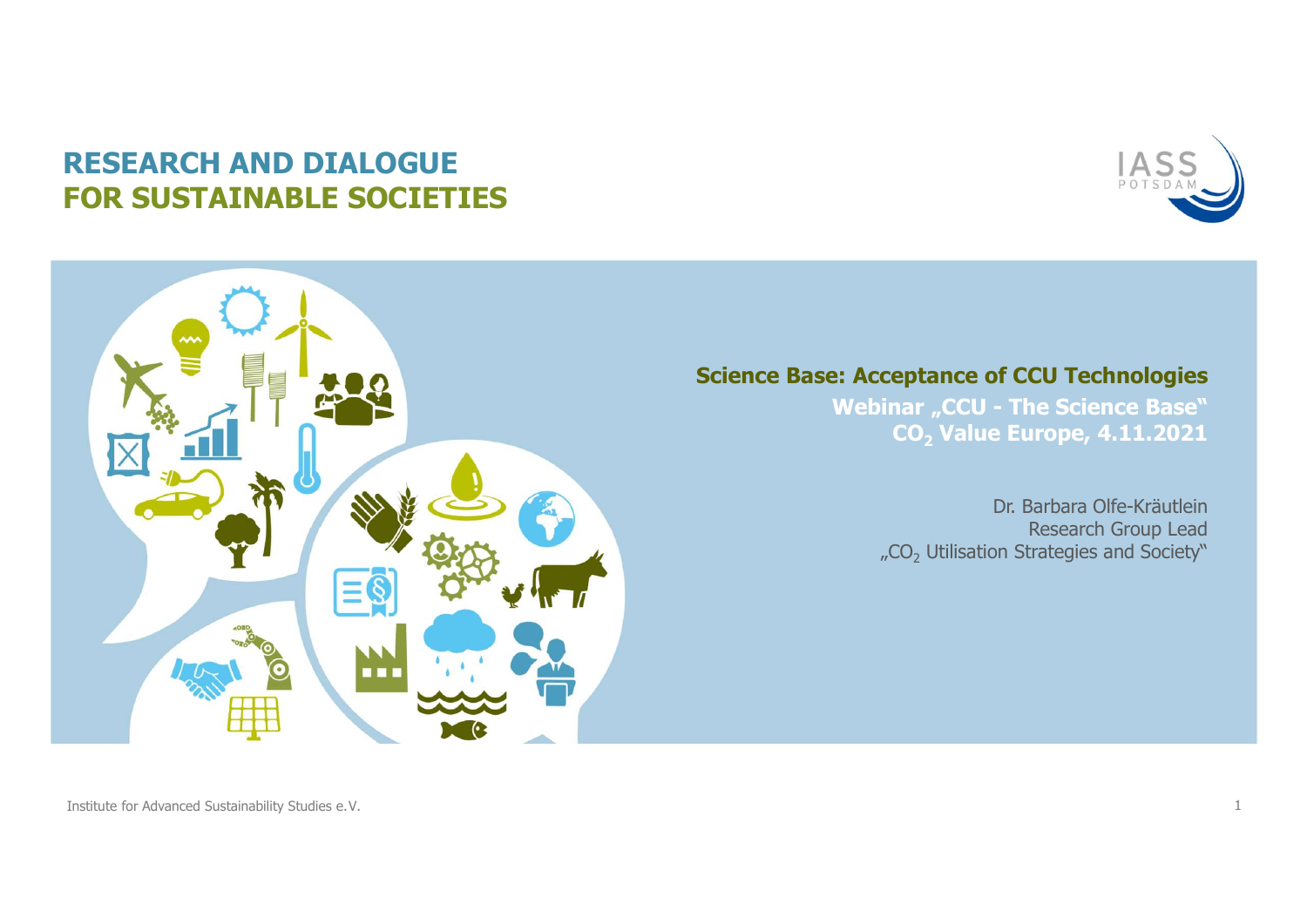## RESEARCH AND DIALOGUE FOR SUSTAINABLE SOCIETIES





**Science Base: Acceptance of CCU Technologies**<br>
Webinar "CCU - The Science Base"<br>
CO<sub>2</sub> Value Europe, 4.11.2021 ASS<br>
POTSDAM<br>
POTSDAM<br>
POTSDAM<br>
Webinar "CCU - The Science Base"<br>
CO<sub>2</sub> Value Europe, 4.11.2021<br>
POTS ASSEMENT CO<sub>2</sub> Value Europe, 4.11.2021

Dr. Barbara Olfe-Kräutlein Research Group Lead **THE SET SOLUTE STRATE STRATE STRATE STATE STATE STATE STATE STATE STATE STATE STATE STATE STATE STATE STATE STATE STATE STATE STATE STATE STATE STATE STATE STATE STATE STATE STATE STATE STATE STATE STATE STATE STATE STATE**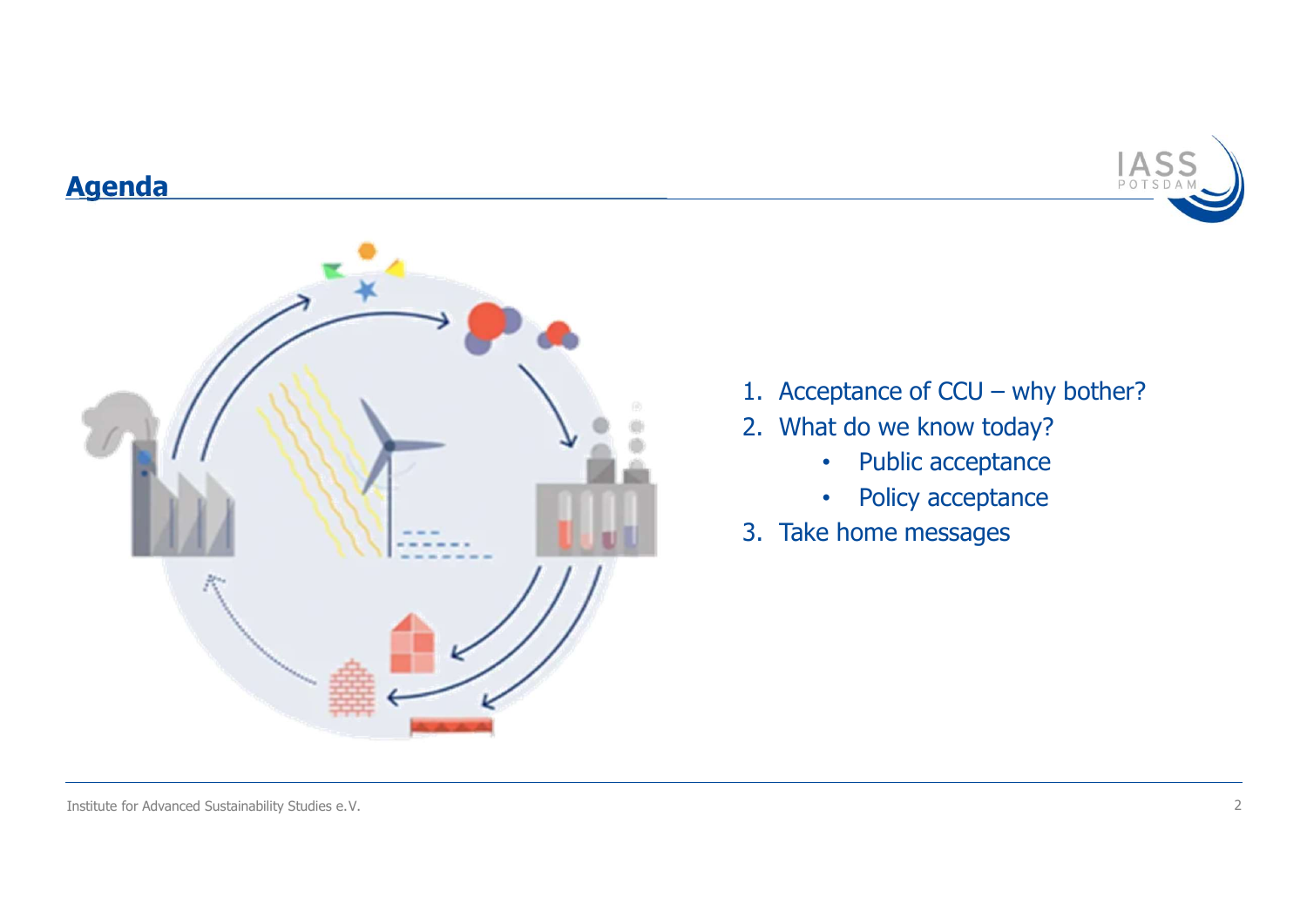## Agenda



- $\frac{1ASS}{POTSDAM}$ <br>1. Acceptance of CCU why bother?<br>2. What do we know today?<br>• Public acceptance 1. Acceptance of CCU – why bother?<br>
2. What do we know today?<br>
• Public acceptance<br>
• Policy acceptance IASS<br>
1. Acceptance of CCU – why bother?<br>
2. What do we know today?<br>
• Public acceptance<br>
• Policy acceptance<br>
3. Take home messages
- 
- -
	- Policy acceptance
-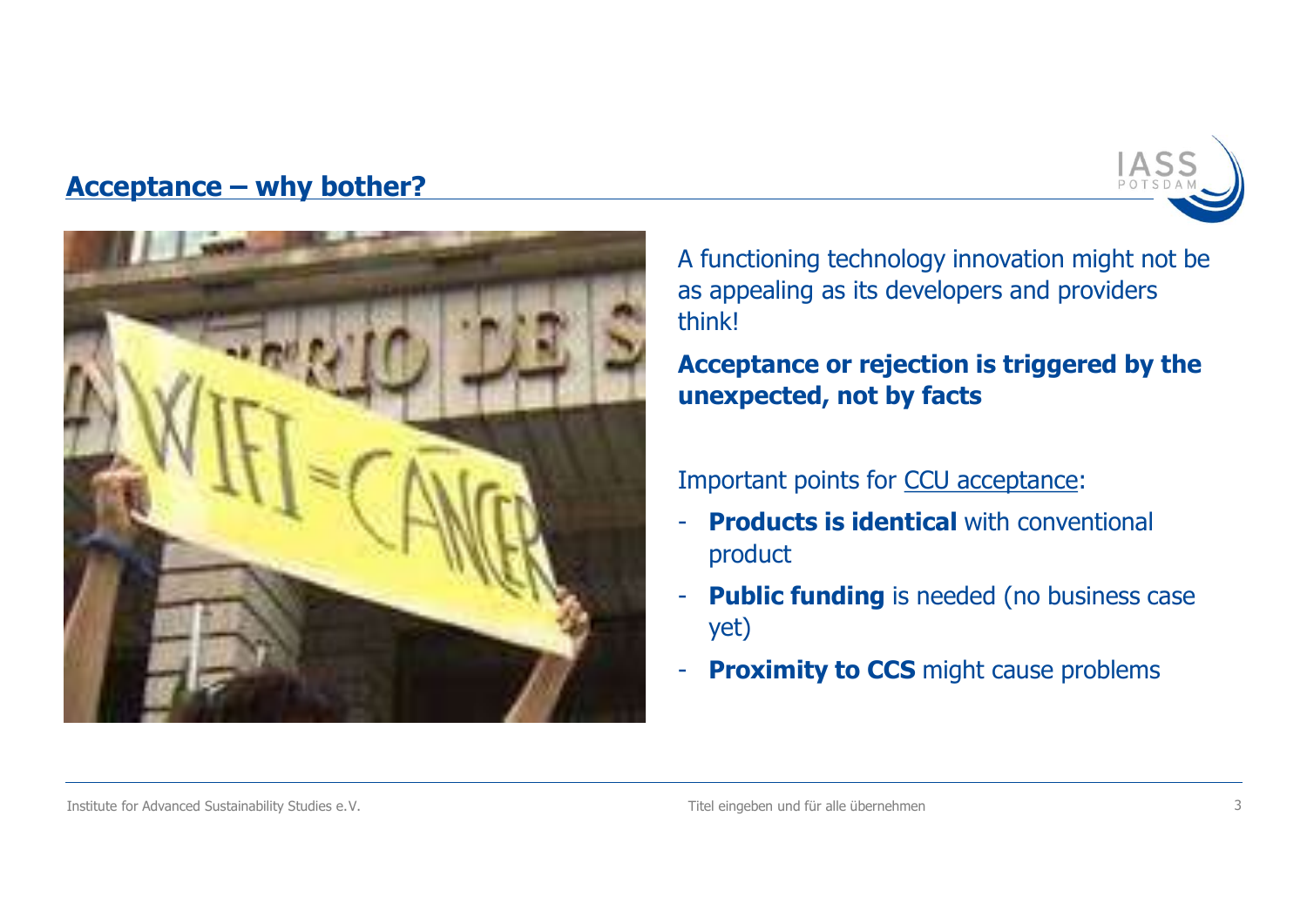



A functioning technology innovation might not be as appealing as its developers and providers think!

Acceptance or rejection is triggered by the unexpected, not by facts

# Important points for CCU acceptance:<br>- **Products is identical** with conventional

- product
- Public funding is needed (no business case yet)
- **Proximity to CCS** might cause problems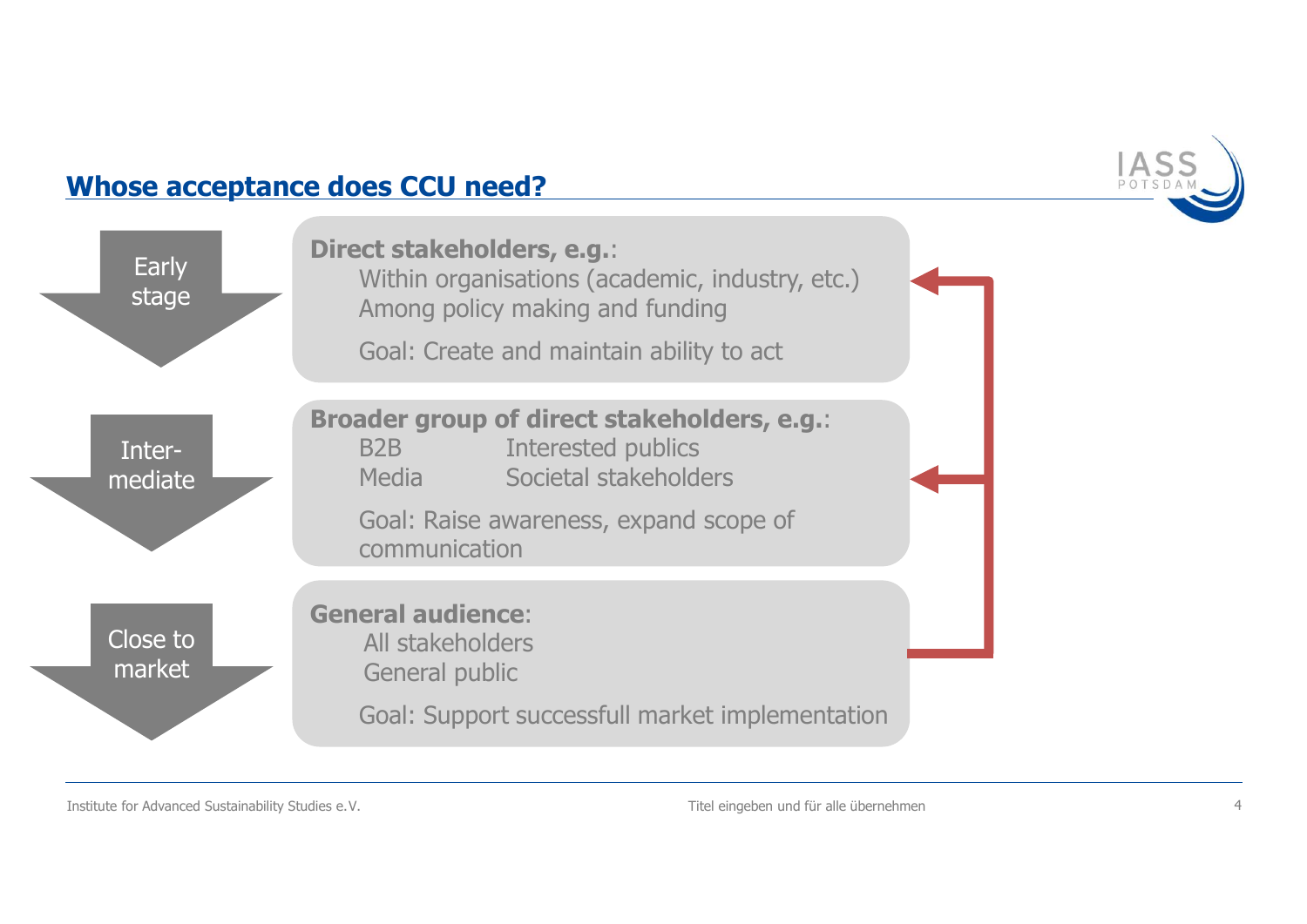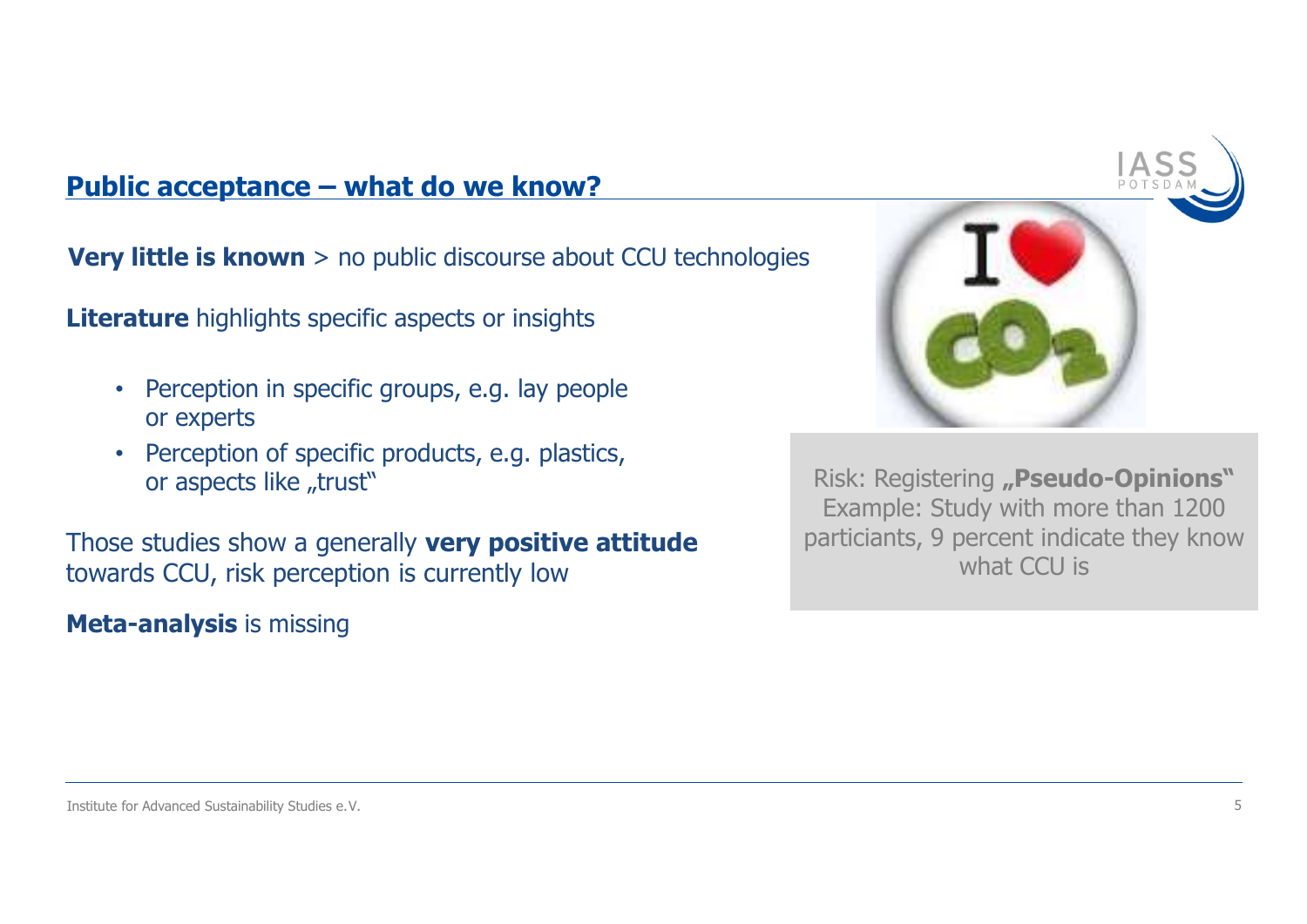Public acceptance – what do we know?<br>Very little is known > no public discourse about CCU technologies

- **Example 12 Separate what do we know?**<br> **ttle is known** > no public discourse about CCU to<br> **ure** highlights specific aspects or insights<br>
Perception in specific groups, e.g. lay people<br>
or experts<br>
Perception of specifi **Fittle is known > no public discourse about CCU technologies**<br> **example is known > no public discourse about CCU technologies**<br> **expection in specific groups, e.g. lay people<br>
or experts<br>
• Perception of specific products Example 12 Separate - what do we know?**<br> **ttle is known** > no public discourse about CCU technolog<br> **ure** highlights specific aspects or insights<br>
Perception in specific groups, e.g. lay people<br>
or experts<br>
Perception of
- 

**Very little is known** > no public discourse about CCU technolog<br> **Literature** highlights specific aspects or insights<br>
• Perception in specific groups, e.g. lay people<br>
or experts<br>
• Perception of specific products, e.g.



Institute for Advanced Sustainability Studies e.V.<br>
Institute for Advanced Sustainability Studies e.V.<br>
Institute for Advanced Sustainability Studies e.V.<br>
Stain of the studies of Advanced Sustainability Studies e.V. Risk: Registering "Pseudo-Opinions"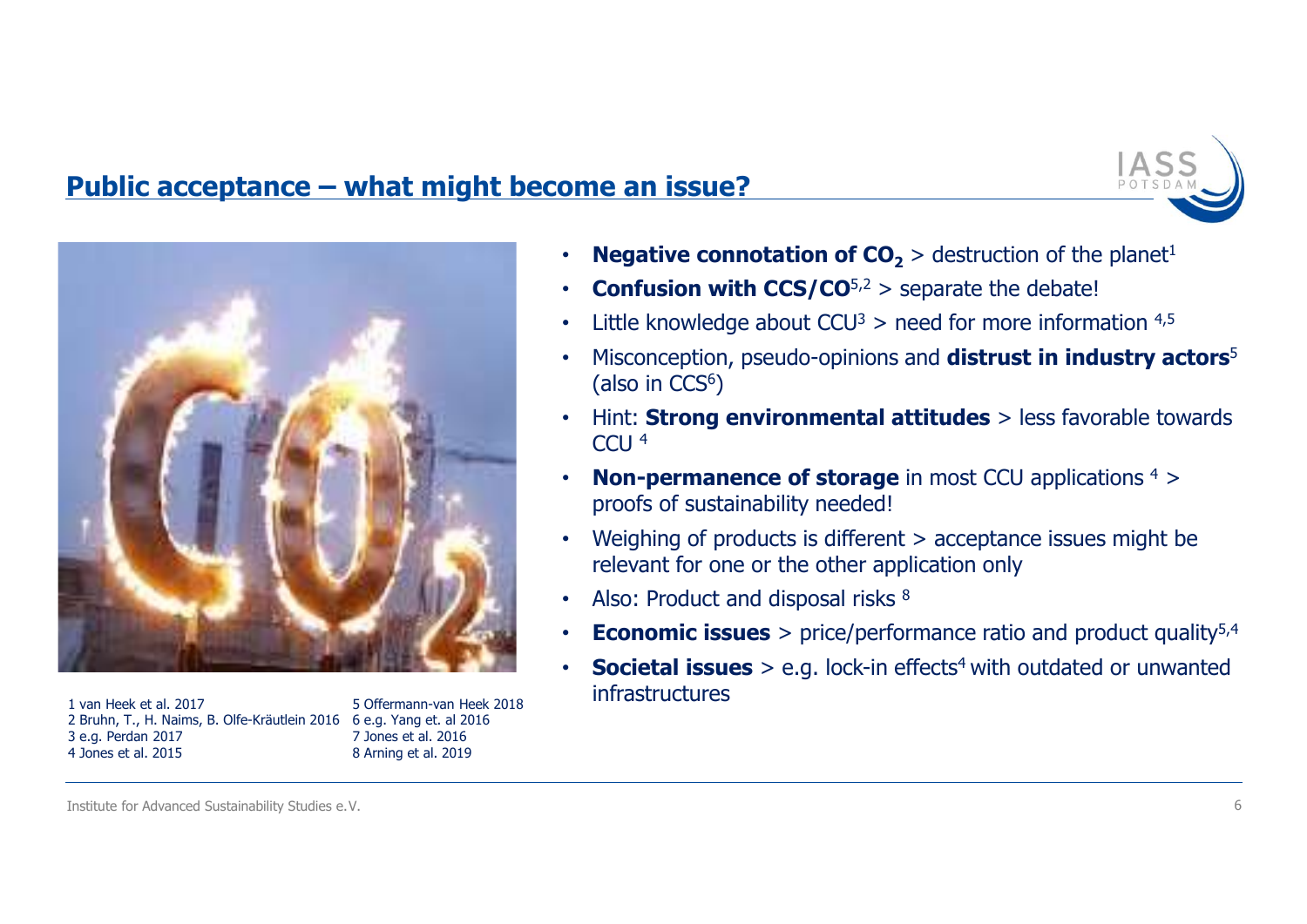



2 Bruhn, T., H. Naims, B. Olfe-Kräutlein 2016 6 e.g. Yang et. al 2016 4 Jones et al. 2015

7 Jones et al. 2016 8 Arning et al. 2019

- 
- 
- 
- **PORE AT ASS.**<br>
 **Negative connotation of CO<sub>2</sub> > destruction of the planet<sup>1</sup><br>
 <b>Confusion with CCS/CO<sup>5,2</sup> > separate the debate!**<br>
 Little knowledge about CCU<sup>3</sup> > need for more information <sup>4,5</sup><br>
 Misconception, p **• Misconception, pseudo-opinions and distrust in industry actors**<br>
• **Misconception with CCS/CO<sup>5,2</sup> > separate the debate!<br>
• Little knowledge about CCU<sup>3</sup> > need for more information <sup>4,5</sup><br>
• Misconception, pseudo-opin**  $(\text{also in }CCS^6)$ **Propagative connotation of CO<sub>2</sub>** > destruction of the planet<sup>1</sup><br>
• **Negative connotation of CO<sub>2</sub>** > destruction of the planet<sup>1</sup><br>
• **Confusion with CCS/CO**<sup>5,2</sup> > separate the debate!<br>
• Little knowledge about CCU<sup>3</sup> > **Properties:**<br> **Example 2018**<br>
• **Negative connotation of CO<sub>2</sub> > destruction of the planet<sup>1</sup><br>
• <b>Confusion with CCS/CO**<sup>5,2</sup> > separate the debate!<br>
• Little knowledge about CCU<sup>3</sup> > need for more information <sup>4,5</sup><br>
• M **Proof sustainability needed!**<br>
• **Negative connotation of CO<sub>2</sub> > destruction of the planet<sup>1</sup><br>
• <b>Confusion with CCS/CO**<sup>5,2</sup> > separate the debate!<br>
• Little knowledge about CCU<sup>3</sup> > need for more information <sup>4,5</sup><br>
• **Propagative connotation of CO<sub>2</sub>** > destruction of the planet<sup>1</sup><br> **Confusion with CCS/CO**<sup>5,2</sup> > separate the debate!<br>
Little knowledge about CCU<sup>3</sup> > need for more information <sup>4,5</sup><br>
Misconception, pseudo-opinions and • **Negative connotation of CO<sub>2</sub>** > destruction of the planet<sup>1</sup><br>
• **Confusion with CCS/CO**<sup>5,2</sup> > separate the debate!<br>
• Little knowledge about CCU<sup>3</sup> > need for more information <sup>4,5</sup><br>
• Misconception, pseudo-opinions
- CCU 4
- 
- 
- 
- 
- **Negative connotation of CO<sub>2</sub>** > destruction of the planet<sup>1</sup><br>
 **Confusion with CCS/CO**<sup>5,2</sup> > separate the debate!<br>
 Little knowledge about CCU<sup>3</sup> > need for more information <sup>4,5</sup><br>
 Misconception, pseudo-opinions • **Confusion with CCS/CO**<sup>5,2</sup> > sestimation of the planet-<br>• **Confusion with CCS/CO**<sup>5,2</sup> > separate the debate!<br>• Little knowledge about CCU<sup>3</sup> > need for more information <sup>4,5</sup><br>• Misconception, pseudo-opinions and **dis** 1 van Heek et al. 2017 **infrastructures** 5 Offermann-van Heek 2018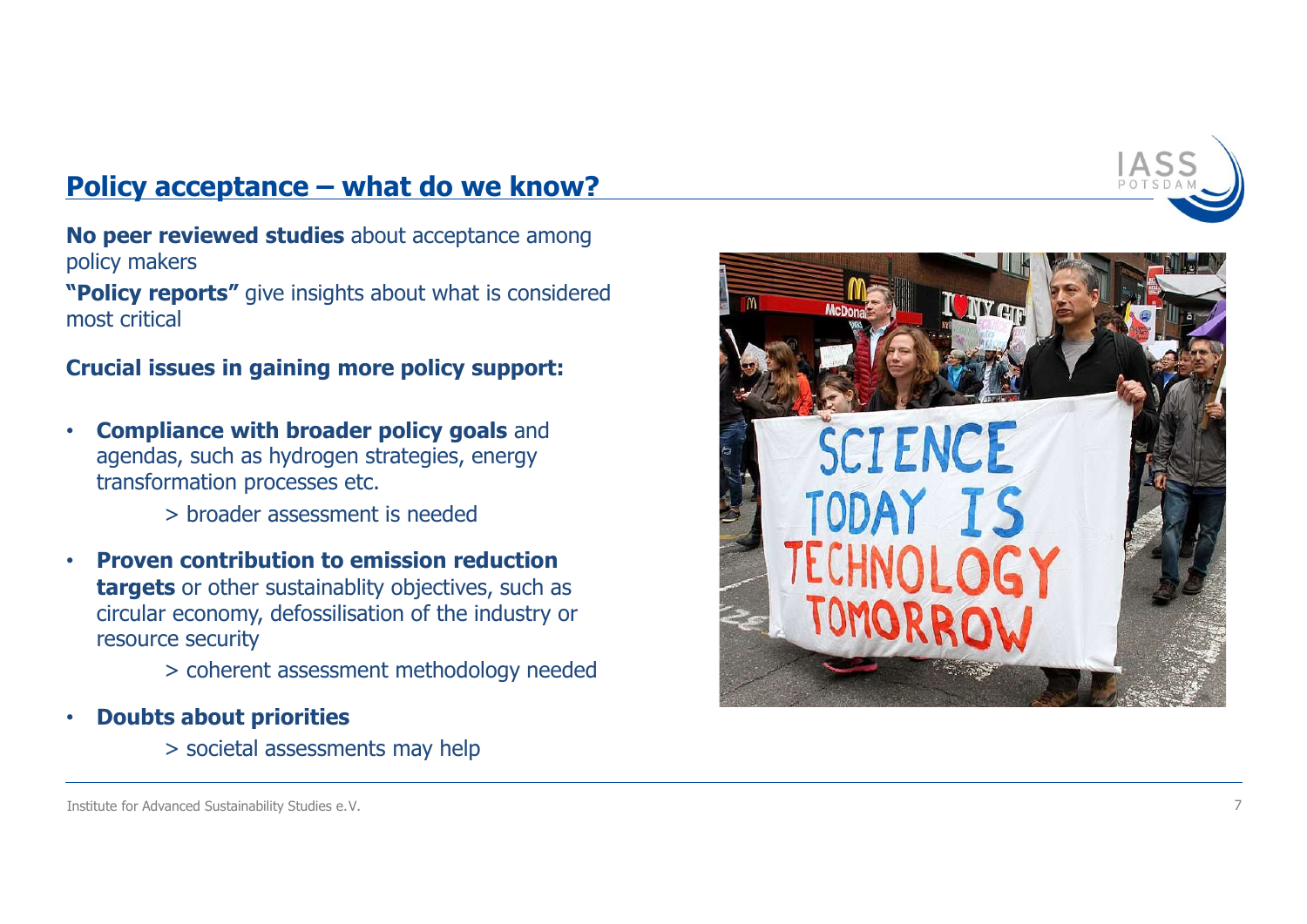Policy acceptance – what do we know?<br>No peer reviewed studies about acceptance among<br>policy makers No peer reviewed studies about acceptance among policy makers

"Policy reports" give insights about what is considered most critical

- **DEAT ASSEM SHOW SHOW SPERIT CONTROLL SURFERENCE SPECIFY THE PREVIOUS CONSUMIST SURFERENCE STRATEGIES (SURFERENCE STRATEGIES)<br>
Stratical<br>
Stratical<br>
Compliance with broader policy support:<br>
Compliance with broader policy g** 
	-
- **peer reviewed studies** about acceptance among<br>
ricy makers<br> **olicy reports"** give insights about what is considered<br>
st critical<br> **acial issues in gaining more policy support:**<br> **Compliance with broader policy goals** and<br>
	-
- -



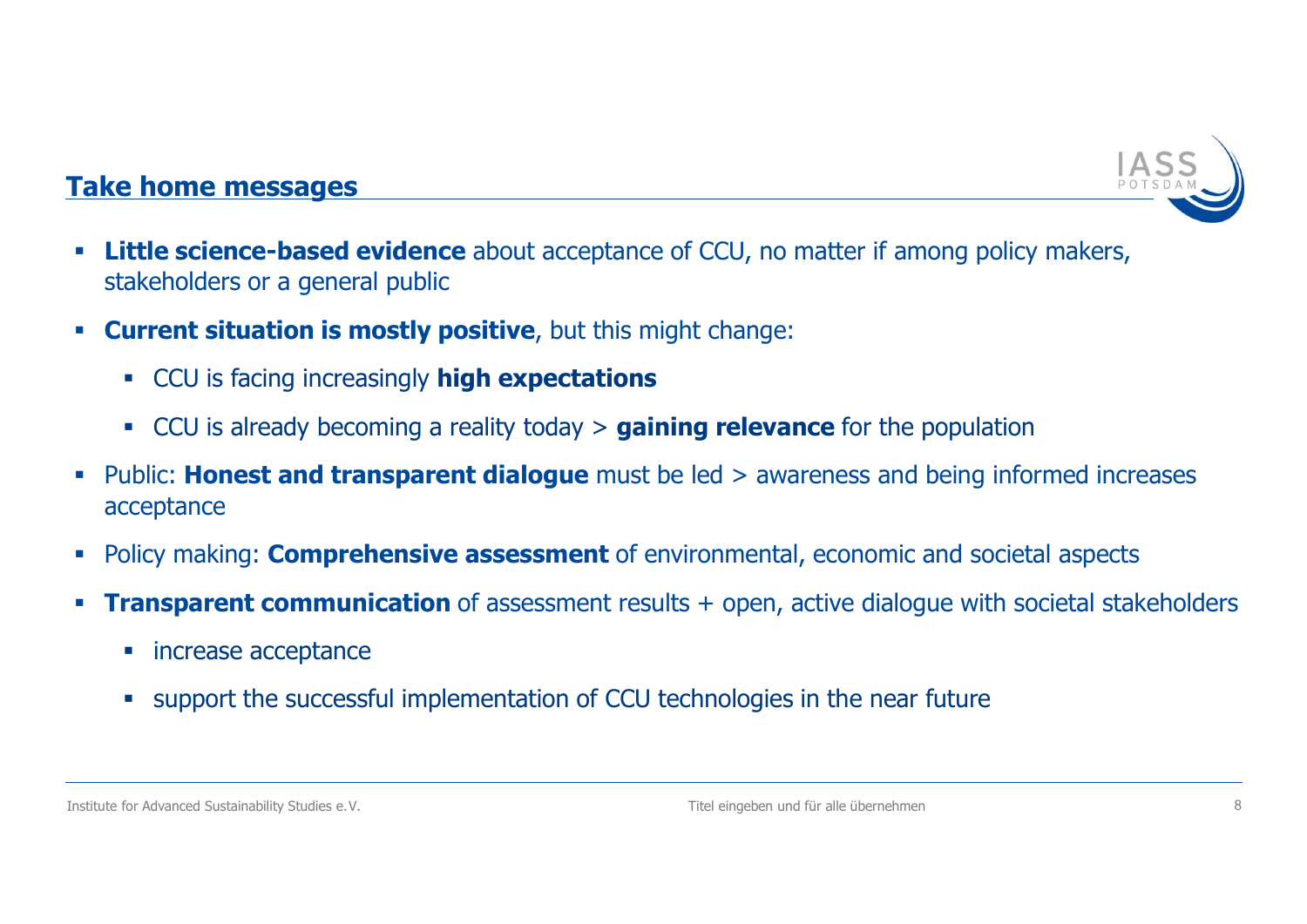

- **Little science-based evidence** about acceptance of CCU, no matter if among policy makers, stakeholders or a general public Take home messages<br>• Little science-based evidence about acceptance of CCI<br>stakeholders or a general public
- Current situation is mostly positive, but this might change:
	- CCU is facing increasingly **high expectations**
	-
- Institute for Advanced Sustainability Studies e.V.<br>
The engelber und furnite interesting<br>
Informed increases<br>
Transparent com**prehensive assessment** of environmental, economic and societal aspects<br> **Fransparent communica Example messages**<br> **CCU is factorized a vidence** about acceptance of CCU, no matter if among policy makers,<br>
akeholders or a general public<br> **CCU is facing increasingly high expectations**<br> **CCU is already becoming a reali** • Public: **Honest and transparent dialogue** must be led  $>$  awareness and being informed increases acceptance
- Policy making: **Comprehensive assessment** of environmental, economic and societal aspects
- **Transparent communication** of assessment results + open, active dialogue with societal stakeholders
	- **increase acceptance**
	- support the successful implementation of CCU technologies in the near future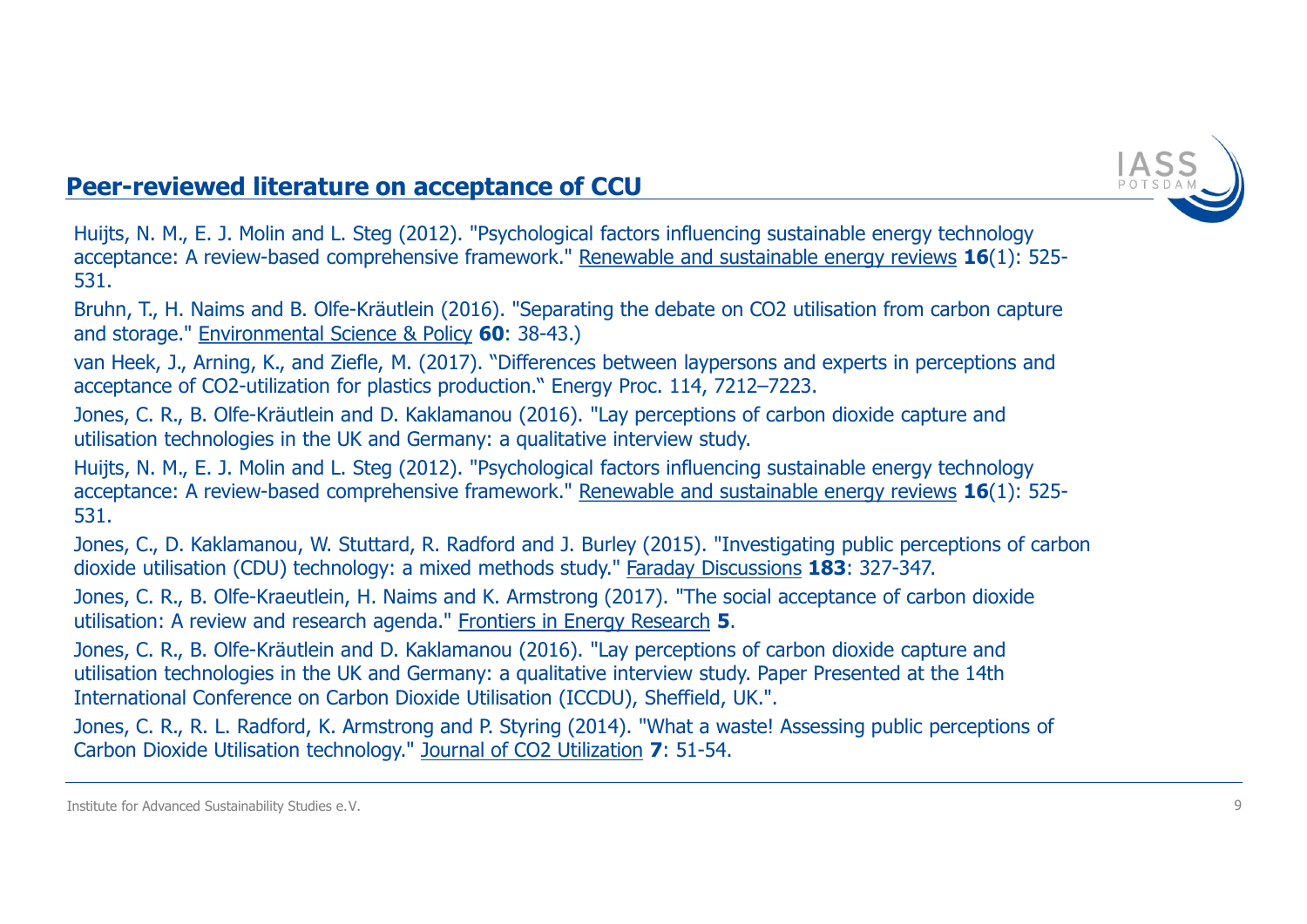

Huijts, N. M., E. J. Molin and L. Steg (2012). "Psychological factors influencing sustainable energy technology acceptance: A review-based comprehensive framework." Renewable and sustainable energy reviews 16(1): 525-531. **Peer-reviewed literature on acceptance of CCU**<br>Butjits, N. M., E. J. Molin and L. Steg (2012). "Psychological factors influencing sustainable energy technology<br>acceptance: A review-based comprehensive framework." <u>Renewab</u> **Peer-reviewed literature on acceptance of CCU**<br>
Huijts, N. M., E. J. Molin and L. Steg (2012). "Psychological factors influencing sustainable energy technology<br>
acceptance: A review-based comprehensive framework." <u>Renewa</u> **Peer-reviewed literature on acceptance of CCU**<br>
Huijts, N. M., E. J. Molin and L. Steg (2012). "Psychological factors influencing sustainable energy technology<br>
acceptance: A review-based comprehensive framework." Renewab **Peer-reviewed literature on acceptance of CCU**<br>Huijts, N. M., E. J. Molin and L. Steg (2012). "Psychological factors influencing sustainable energy technology<br>acceptance: A review-based comprehensive framework." <u>Renewabl</u>

and storage." Environmental Science & Policy 60: 38-43.)

van Heek, J., Arning, K., and Ziefle, M. (2017). "Differences between laypersons and experts in perceptions and

streptions of exploration in the UK and Germany: any increase productions. The streptions of carbon dioxide capture and utilistation technologies in the UK and GErmany: a qualitative interview study. Hugh Hught Hugh Hugh H **Peer-reviewed literature on acceptance of CCU**<br>Huijts, N. M., E. J. Molin and L. Steg (2012). "Psychological factors influencing sustainable energy re<br>acceptance: A review-based comprehensive framework." <u>Renewable and su</u> Huijts, N. M., E. J. Molin and L. Steg (2012). "Psychological factors influencing sustainable energy technology acceptance: A review-based comprehensive framework." Renewable and sustainable energy reviews 16(1): 525-531. **Peer-reviewed literature on acceptance of CCU**<br>Huijts, N. M., E. J. Molin and L. Steg (2012). "Psychological factors influencing sustainable energy technology<br>acceptance: A review-based comprehensive framework." <u>Renewabl</u> utilisation: A review based comprehensive framework." Renewable and sustainable energy reviews 16(1): 525-531.<br>
S31.<br>
S21. The Review and Storage." Environmental Science & Policy 60: 38-43.)<br>
Berham, T., H. Naims and B. Ol utilisation technologies in the UK and Germany: a qualitative interview study. Paper Presented at the 14th Ditermation (2015). "Depending the debate on CO2 utilisation from carbon capture and storage." Environmental Scienc 551.<br>
Shuhn, T., H. Naims and B. Olfe-Kräutlein (2016). "Separating the debate on CO2 utilisation from carbon capture<br>
and storage." <u>Environmental Science & Policy</u> **60**: 38-43.)<br>
acceptance of CO2-utilization for plastic

Jones, C., D. Kaklamanou, W. Stuttard, R. Radford and J. Burley (2015). "Investigating public perceptions of carbon

Jones, C. R., B. Olfe-Kraeutlein, H. Naims and K. Armstrong (2017). "The social acceptance of carbon dioxide

and songer. **Examplemental Other School** Sudisation (ICOD), The Subsettion of Advanced Sustainability Studies e. V.<br>
Wan Heek, J., Aming, K., and Ziefle, M. (2017). "Differences between laypersons and experts in<br>
acceptanc

Jones, C. R., R. L. Radford, K. Armstrong and P. Styring (2014). "What a waste! Assessing public perceptions of